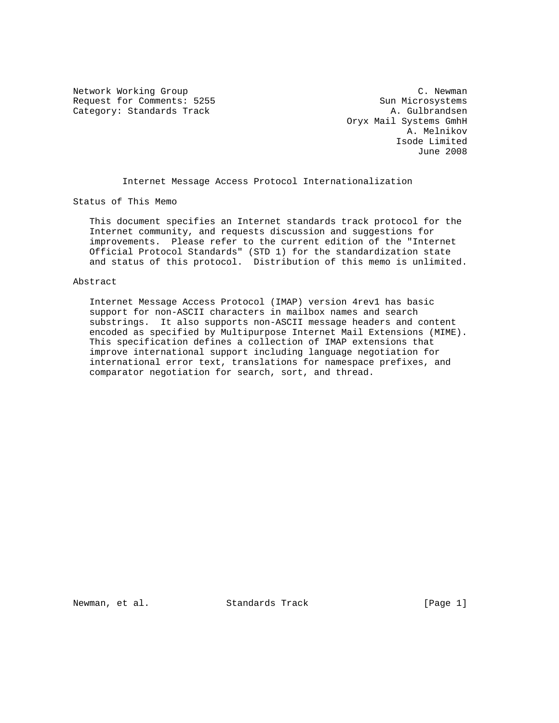Request for Comments: 5255 Sun Microsystems Category: Standards Track A. Gulbrandsen

Network Working Group C. Newman C. Newman Oryx Mail Systems GmhH A. Melnikov Isode Limited June 2008

Internet Message Access Protocol Internationalization

Status of This Memo

 This document specifies an Internet standards track protocol for the Internet community, and requests discussion and suggestions for improvements. Please refer to the current edition of the "Internet Official Protocol Standards" (STD 1) for the standardization state and status of this protocol. Distribution of this memo is unlimited.

### Abstract

 Internet Message Access Protocol (IMAP) version 4rev1 has basic support for non-ASCII characters in mailbox names and search substrings. It also supports non-ASCII message headers and content encoded as specified by Multipurpose Internet Mail Extensions (MIME). This specification defines a collection of IMAP extensions that improve international support including language negotiation for international error text, translations for namespace prefixes, and comparator negotiation for search, sort, and thread.

Newman, et al. Standards Track [Page 1]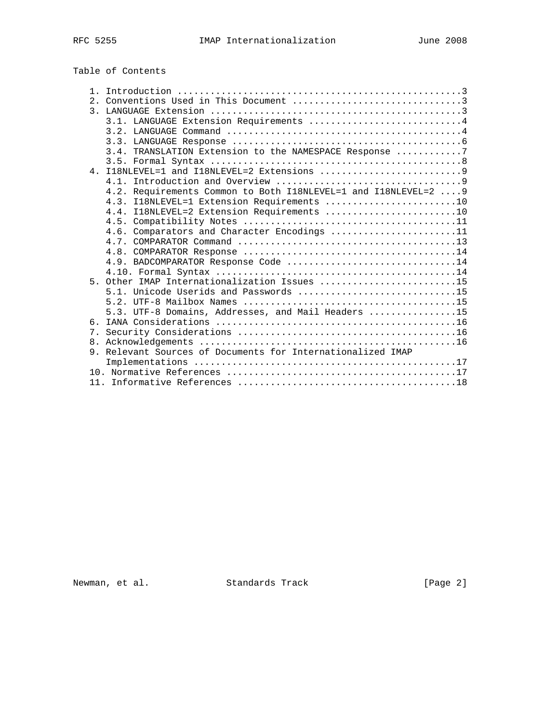# Table of Contents

|    | 2. Conventions Used in This Document 3                          |
|----|-----------------------------------------------------------------|
|    |                                                                 |
|    | 3.1. LANGUAGE Extension Requirements 4                          |
|    |                                                                 |
|    |                                                                 |
|    | 3.4. TRANSLATION Extension to the NAMESPACE Response 7          |
|    |                                                                 |
|    |                                                                 |
|    |                                                                 |
|    | 4.2. Requirements Common to Both I18NLEVEL=1 and I18NLEVEL=2  9 |
|    | 4.3. I18NLEVEL=1 Extension Requirements 10                      |
|    | 4.4. I18NLEVEL=2 Extension Requirements 10                      |
|    |                                                                 |
|    | 4.6. Comparators and Character Encodings 11                     |
|    |                                                                 |
|    |                                                                 |
|    | 4.9. BADCOMPARATOR Response Code 14                             |
|    |                                                                 |
|    | 5. Other IMAP Internationalization Issues 15                    |
|    | 5.1. Unicode Userids and Passwords 15                           |
|    |                                                                 |
|    | 5.3. UTF-8 Domains, Addresses, and Mail Headers 15              |
| б. |                                                                 |
|    |                                                                 |
| 8. |                                                                 |
|    | 9. Relevant Sources of Documents for Internationalized IMAP     |
|    |                                                                 |
|    |                                                                 |
|    |                                                                 |
|    |                                                                 |

Newman, et al. Standards Track (Page 2)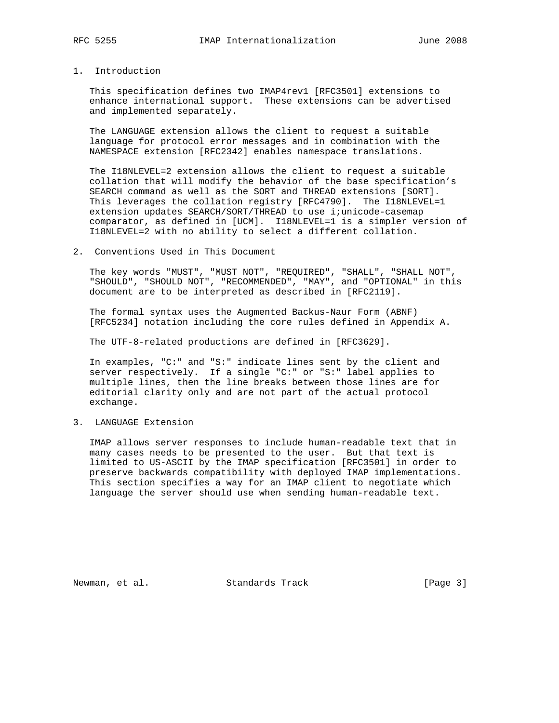## 1. Introduction

 This specification defines two IMAP4rev1 [RFC3501] extensions to enhance international support. These extensions can be advertised and implemented separately.

 The LANGUAGE extension allows the client to request a suitable language for protocol error messages and in combination with the NAMESPACE extension [RFC2342] enables namespace translations.

 The I18NLEVEL=2 extension allows the client to request a suitable collation that will modify the behavior of the base specification's SEARCH command as well as the SORT and THREAD extensions [SORT]. This leverages the collation registry [RFC4790]. The I18NLEVEL=1 extension updates SEARCH/SORT/THREAD to use i;unicode-casemap comparator, as defined in [UCM]. I18NLEVEL=1 is a simpler version of I18NLEVEL=2 with no ability to select a different collation.

### 2. Conventions Used in This Document

 The key words "MUST", "MUST NOT", "REQUIRED", "SHALL", "SHALL NOT", "SHOULD", "SHOULD NOT", "RECOMMENDED", "MAY", and "OPTIONAL" in this document are to be interpreted as described in [RFC2119].

 The formal syntax uses the Augmented Backus-Naur Form (ABNF) [RFC5234] notation including the core rules defined in Appendix A.

The UTF-8-related productions are defined in [RFC3629].

 In examples, "C:" and "S:" indicate lines sent by the client and server respectively. If a single "C:" or "S:" label applies to multiple lines, then the line breaks between those lines are for editorial clarity only and are not part of the actual protocol exchange.

### 3. LANGUAGE Extension

 IMAP allows server responses to include human-readable text that in many cases needs to be presented to the user. But that text is limited to US-ASCII by the IMAP specification [RFC3501] in order to preserve backwards compatibility with deployed IMAP implementations. This section specifies a way for an IMAP client to negotiate which language the server should use when sending human-readable text.

Newman, et al. Standards Track [Page 3]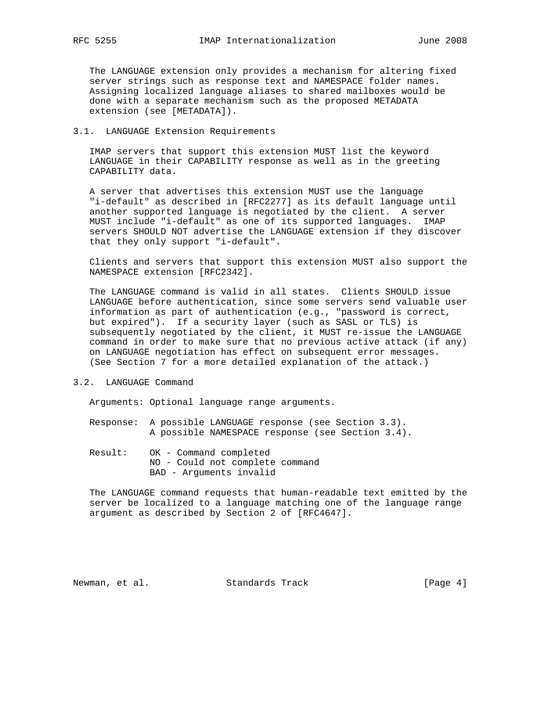The LANGUAGE extension only provides a mechanism for altering fixed server strings such as response text and NAMESPACE folder names. Assigning localized language aliases to shared mailboxes would be done with a separate mechanism such as the proposed METADATA extension (see [METADATA]).

### 3.1. LANGUAGE Extension Requirements

 IMAP servers that support this extension MUST list the keyword LANGUAGE in their CAPABILITY response as well as in the greeting CAPABILITY data.

 A server that advertises this extension MUST use the language "i-default" as described in [RFC2277] as its default language until another supported language is negotiated by the client. A server MUST include "i-default" as one of its supported languages. IMAP servers SHOULD NOT advertise the LANGUAGE extension if they discover that they only support "i-default".

 Clients and servers that support this extension MUST also support the NAMESPACE extension [RFC2342].

 The LANGUAGE command is valid in all states. Clients SHOULD issue LANGUAGE before authentication, since some servers send valuable user information as part of authentication (e.g., "password is correct, but expired"). If a security layer (such as SASL or TLS) is subsequently negotiated by the client, it MUST re-issue the LANGUAGE command in order to make sure that no previous active attack (if any) on LANGUAGE negotiation has effect on subsequent error messages. (See Section 7 for a more detailed explanation of the attack.)

### 3.2. LANGUAGE Command

Arguments: Optional language range arguments.

 Response: A possible LANGUAGE response (see Section 3.3). A possible NAMESPACE response (see Section 3.4).

 Result: OK - Command completed NO - Could not complete command BAD - Arguments invalid

 The LANGUAGE command requests that human-readable text emitted by the server be localized to a language matching one of the language range argument as described by Section 2 of [RFC4647].

Newman, et al. Standards Track [Page 4]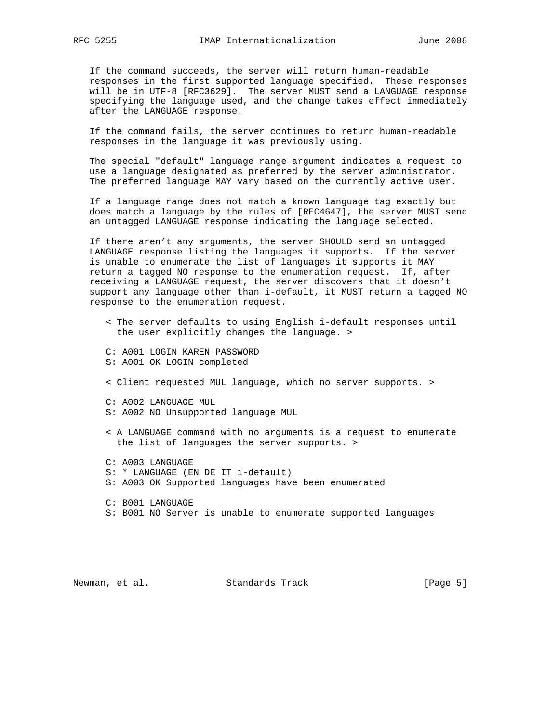If the command succeeds, the server will return human-readable responses in the first supported language specified. These responses will be in UTF-8 [RFC3629]. The server MUST send a LANGUAGE response specifying the language used, and the change takes effect immediately after the LANGUAGE response.

 If the command fails, the server continues to return human-readable responses in the language it was previously using.

 The special "default" language range argument indicates a request to use a language designated as preferred by the server administrator. The preferred language MAY vary based on the currently active user.

 If a language range does not match a known language tag exactly but does match a language by the rules of [RFC4647], the server MUST send an untagged LANGUAGE response indicating the language selected.

 If there aren't any arguments, the server SHOULD send an untagged LANGUAGE response listing the languages it supports. If the server is unable to enumerate the list of languages it supports it MAY return a tagged NO response to the enumeration request. If, after receiving a LANGUAGE request, the server discovers that it doesn't support any language other than i-default, it MUST return a tagged NO response to the enumeration request.

- < The server defaults to using English i-default responses until the user explicitly changes the language. >
- C: A001 LOGIN KAREN PASSWORD S: A001 OK LOGIN completed
- < Client requested MUL language, which no server supports. >
- C: A002 LANGUAGE MUL
- S: A002 NO Unsupported language MUL
- < A LANGUAGE command with no arguments is a request to enumerate the list of languages the server supports. >
- C: A003 LANGUAGE S: \* LANGUAGE (EN DE IT i-default) S: A003 OK Supported languages have been enumerated
- C: B001 LANGUAGE S: B001 NO Server is unable to enumerate supported languages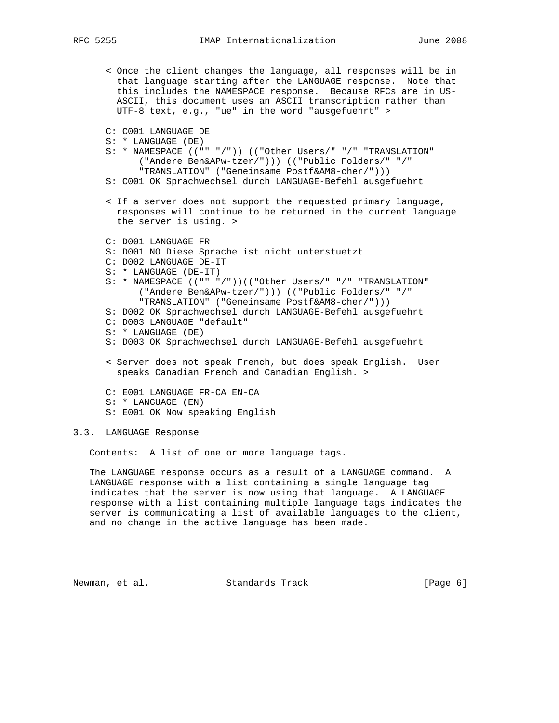- < Once the client changes the language, all responses will be in that language starting after the LANGUAGE response. Note that this includes the NAMESPACE response. Because RFCs are in US- ASCII, this document uses an ASCII transcription rather than UTF-8 text, e.g., "ue" in the word "ausgefuehrt" > C: C001 LANGUAGE DE S: \* LANGUAGE (DE) S: \* NAMESPACE (("" "/")) (("Other Users/" "/" "TRANSLATION" ("Andere Ben&APw-tzer/"))) (("Public Folders/" "/" "TRANSLATION" ("Gemeinsame Postf&AM8-cher/"))) S: C001 OK Sprachwechsel durch LANGUAGE-Befehl ausgefuehrt < If a server does not support the requested primary language, responses will continue to be returned in the current language the server is using. > C: D001 LANGUAGE FR S: D001 NO Diese Sprache ist nicht unterstuetzt C: D002 LANGUAGE DE-IT S: \* LANGUAGE (DE-IT) S: \* NAMESPACE (("" "/"))(("Other Users/" "/" "TRANSLATION" ("Andere Ben&APw-tzer/"))) (("Public Folders/" "/" "TRANSLATION" ("Gemeinsame Postf&AM8-cher/"))) S: D002 OK Sprachwechsel durch LANGUAGE-Befehl ausgefuehrt C: D003 LANGUAGE "default" S: \* LANGUAGE (DE) S: D003 OK Sprachwechsel durch LANGUAGE-Befehl ausgefuehrt < Server does not speak French, but does speak English. User speaks Canadian French and Canadian English. > C: E001 LANGUAGE FR-CA EN-CA S: \* LANGUAGE (EN) S: E001 OK Now speaking English
- 3.3. LANGUAGE Response

Contents: A list of one or more language tags.

 The LANGUAGE response occurs as a result of a LANGUAGE command. A LANGUAGE response with a list containing a single language tag indicates that the server is now using that language. A LANGUAGE response with a list containing multiple language tags indicates the server is communicating a list of available languages to the client, and no change in the active language has been made.

Newman, et al. Standards Track [Page 6]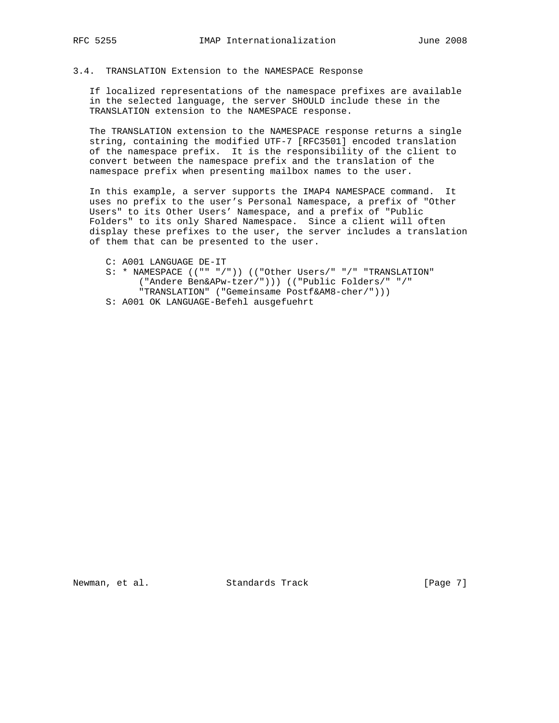### 3.4. TRANSLATION Extension to the NAMESPACE Response

 If localized representations of the namespace prefixes are available in the selected language, the server SHOULD include these in the TRANSLATION extension to the NAMESPACE response.

 The TRANSLATION extension to the NAMESPACE response returns a single string, containing the modified UTF-7 [RFC3501] encoded translation of the namespace prefix. It is the responsibility of the client to convert between the namespace prefix and the translation of the namespace prefix when presenting mailbox names to the user.

 In this example, a server supports the IMAP4 NAMESPACE command. It uses no prefix to the user's Personal Namespace, a prefix of "Other Users" to its Other Users' Namespace, and a prefix of "Public Folders" to its only Shared Namespace. Since a client will often display these prefixes to the user, the server includes a translation of them that can be presented to the user.

C: A001 LANGUAGE DE-IT

- S: \* NAMESPACE (("" "/")) (("Other Users/" "/" "TRANSLATION" ("Andere Ben&APw-tzer/"))) (("Public Folders/" "/" "TRANSLATION" ("Gemeinsame Postf&AM8-cher/")))
- S: A001 OK LANGUAGE-Befehl ausgefuehrt

Newman, et al. Standards Track [Page 7]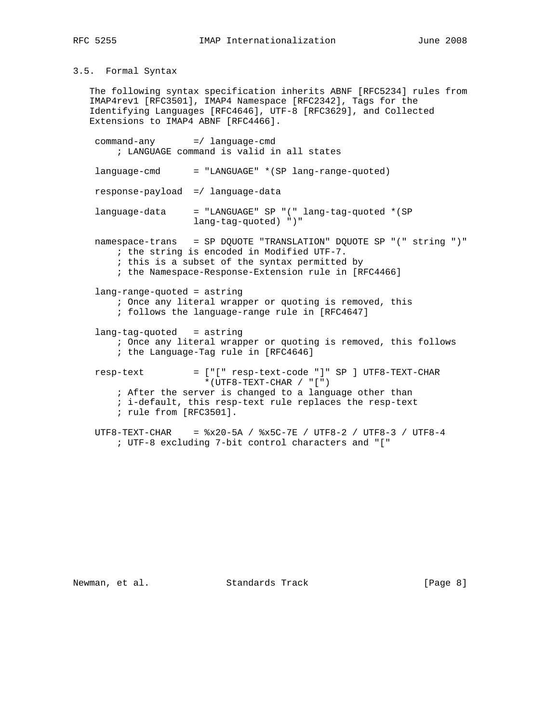### 3.5. Formal Syntax

 The following syntax specification inherits ABNF [RFC5234] rules from IMAP4rev1 [RFC3501], IMAP4 Namespace [RFC2342], Tags for the Identifying Languages [RFC4646], UTF-8 [RFC3629], and Collected Extensions to IMAP4 ABNF [RFC4466].

 command-any =/ language-cmd ; LANGUAGE command is valid in all states language-cmd = "LANGUAGE" \*(SP lang-range-quoted) response-payload =/ language-data language-data = "LANGUAGE" SP "(" lang-tag-quoted \*(SP lang-tag-quoted) ")" namespace-trans = SP DQUOTE "TRANSLATION" DQUOTE SP "(" string ")" ; the string is encoded in Modified UTF-7. ; this is a subset of the syntax permitted by ; the Namespace-Response-Extension rule in [RFC4466] lang-range-quoted = astring ; Once any literal wrapper or quoting is removed, this ; follows the language-range rule in [RFC4647] lang-tag-quoted = astring ; Once any literal wrapper or quoting is removed, this follows ; the Language-Tag rule in [RFC4646] resp-text = ["[" resp-text-code "]" SP ] UTF8-TEXT-CHAR \*(UTF8-TEXT-CHAR / "[") ; After the server is changed to a language other than ; i-default, this resp-text rule replaces the resp-text ; rule from [RFC3501]. UTF8-TEXT-CHAR = %x20-5A / %x5C-7E / UTF8-2 / UTF8-3 / UTF8-4 ; UTF-8 excluding 7-bit control characters and "["

Newman, et al. Standards Track [Page 8]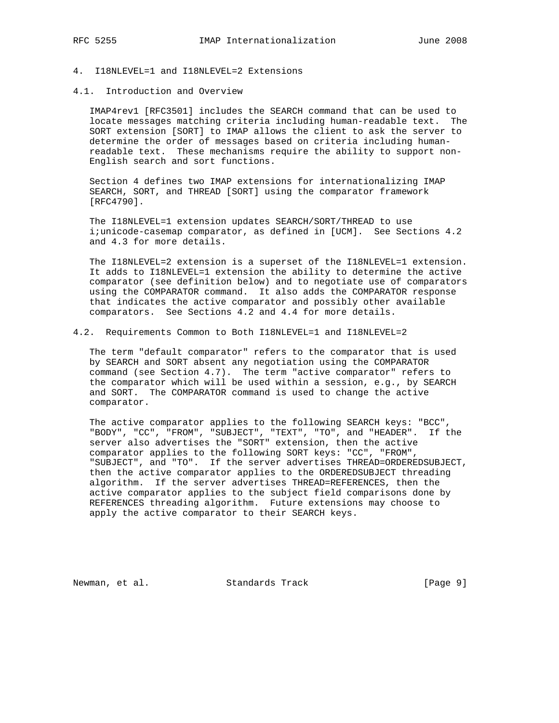- 4. I18NLEVEL=1 and I18NLEVEL=2 Extensions
- 4.1. Introduction and Overview

 IMAP4rev1 [RFC3501] includes the SEARCH command that can be used to locate messages matching criteria including human-readable text. The SORT extension [SORT] to IMAP allows the client to ask the server to determine the order of messages based on criteria including human readable text. These mechanisms require the ability to support non- English search and sort functions.

 Section 4 defines two IMAP extensions for internationalizing IMAP SEARCH, SORT, and THREAD [SORT] using the comparator framework [RFC4790].

 The I18NLEVEL=1 extension updates SEARCH/SORT/THREAD to use i;unicode-casemap comparator, as defined in [UCM]. See Sections 4.2 and 4.3 for more details.

 The I18NLEVEL=2 extension is a superset of the I18NLEVEL=1 extension. It adds to I18NLEVEL=1 extension the ability to determine the active comparator (see definition below) and to negotiate use of comparators using the COMPARATOR command. It also adds the COMPARATOR response that indicates the active comparator and possibly other available comparators. See Sections 4.2 and 4.4 for more details.

### 4.2. Requirements Common to Both I18NLEVEL=1 and I18NLEVEL=2

 The term "default comparator" refers to the comparator that is used by SEARCH and SORT absent any negotiation using the COMPARATOR command (see Section 4.7). The term "active comparator" refers to the comparator which will be used within a session, e.g., by SEARCH and SORT. The COMPARATOR command is used to change the active comparator.

 The active comparator applies to the following SEARCH keys: "BCC", "BODY", "CC", "FROM", "SUBJECT", "TEXT", "TO", and "HEADER". If the server also advertises the "SORT" extension, then the active comparator applies to the following SORT keys: "CC", "FROM", "SUBJECT", and "TO". If the server advertises THREAD=ORDEREDSUBJECT, then the active comparator applies to the ORDEREDSUBJECT threading algorithm. If the server advertises THREAD=REFERENCES, then the active comparator applies to the subject field comparisons done by REFERENCES threading algorithm. Future extensions may choose to apply the active comparator to their SEARCH keys.

Newman, et al. Standards Track [Page 9]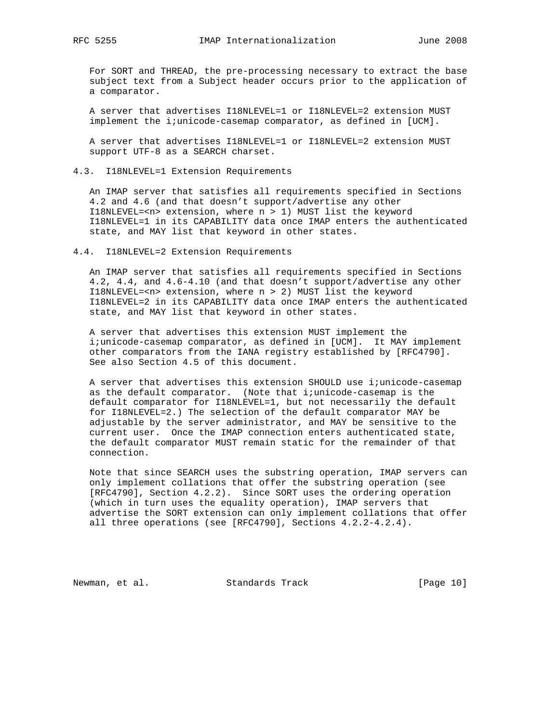For SORT and THREAD, the pre-processing necessary to extract the base subject text from a Subject header occurs prior to the application of a comparator.

 A server that advertises I18NLEVEL=1 or I18NLEVEL=2 extension MUST implement the i;unicode-casemap comparator, as defined in [UCM].

 A server that advertises I18NLEVEL=1 or I18NLEVEL=2 extension MUST support UTF-8 as a SEARCH charset.

4.3. I18NLEVEL=1 Extension Requirements

 An IMAP server that satisfies all requirements specified in Sections 4.2 and 4.6 (and that doesn't support/advertise any other I18NLEVEL=<n> extension, where n > 1) MUST list the keyword I18NLEVEL=1 in its CAPABILITY data once IMAP enters the authenticated state, and MAY list that keyword in other states.

4.4. I18NLEVEL=2 Extension Requirements

 An IMAP server that satisfies all requirements specified in Sections 4.2, 4.4, and 4.6-4.10 (and that doesn't support/advertise any other I18NLEVEL=<n> extension, where n > 2) MUST list the keyword I18NLEVEL=2 in its CAPABILITY data once IMAP enters the authenticated state, and MAY list that keyword in other states.

 A server that advertises this extension MUST implement the i;unicode-casemap comparator, as defined in [UCM]. It MAY implement other comparators from the IANA registry established by [RFC4790]. See also Section 4.5 of this document.

 A server that advertises this extension SHOULD use i;unicode-casemap as the default comparator. (Note that i;unicode-casemap is the default comparator for I18NLEVEL=1, but not necessarily the default for I18NLEVEL=2.) The selection of the default comparator MAY be adjustable by the server administrator, and MAY be sensitive to the current user. Once the IMAP connection enters authenticated state, the default comparator MUST remain static for the remainder of that connection.

 Note that since SEARCH uses the substring operation, IMAP servers can only implement collations that offer the substring operation (see [RFC4790], Section 4.2.2). Since SORT uses the ordering operation (which in turn uses the equality operation), IMAP servers that advertise the SORT extension can only implement collations that offer all three operations (see [RFC4790], Sections 4.2.2-4.2.4).

Newman, et al. Standards Track [Page 10]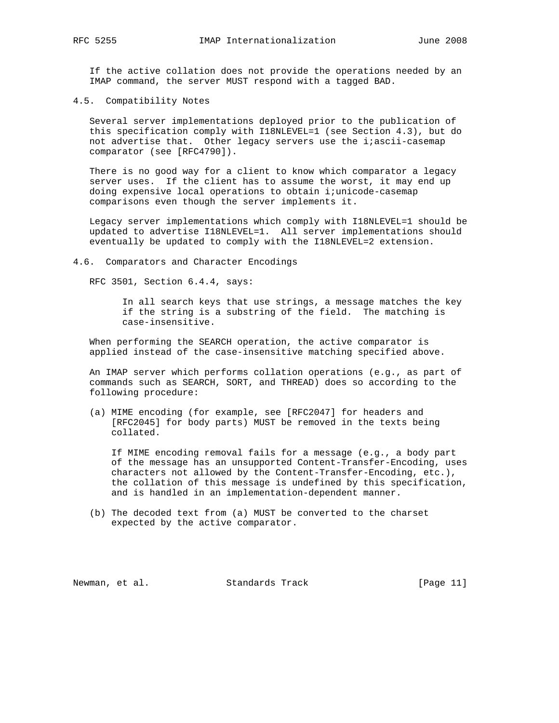If the active collation does not provide the operations needed by an IMAP command, the server MUST respond with a tagged BAD.

4.5. Compatibility Notes

 Several server implementations deployed prior to the publication of this specification comply with I18NLEVEL=1 (see Section 4.3), but do not advertise that. Other legacy servers use the i;ascii-casemap comparator (see [RFC4790]).

 There is no good way for a client to know which comparator a legacy server uses. If the client has to assume the worst, it may end up doing expensive local operations to obtain i;unicode-casemap comparisons even though the server implements it.

 Legacy server implementations which comply with I18NLEVEL=1 should be updated to advertise I18NLEVEL=1. All server implementations should eventually be updated to comply with the I18NLEVEL=2 extension.

4.6. Comparators and Character Encodings

RFC 3501, Section 6.4.4, says:

 In all search keys that use strings, a message matches the key if the string is a substring of the field. The matching is case-insensitive.

 When performing the SEARCH operation, the active comparator is applied instead of the case-insensitive matching specified above.

 An IMAP server which performs collation operations (e.g., as part of commands such as SEARCH, SORT, and THREAD) does so according to the following procedure:

 (a) MIME encoding (for example, see [RFC2047] for headers and [RFC2045] for body parts) MUST be removed in the texts being collated.

 If MIME encoding removal fails for a message (e.g., a body part of the message has an unsupported Content-Transfer-Encoding, uses characters not allowed by the Content-Transfer-Encoding, etc.), the collation of this message is undefined by this specification, and is handled in an implementation-dependent manner.

 (b) The decoded text from (a) MUST be converted to the charset expected by the active comparator.

Newman, et al. Standards Track [Page 11]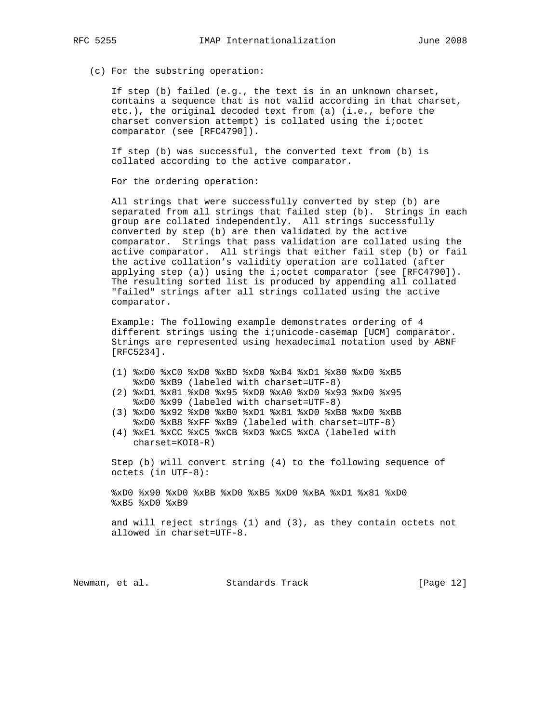- - (c) For the substring operation:

 If step (b) failed (e.g., the text is in an unknown charset, contains a sequence that is not valid according in that charset, etc.), the original decoded text from (a) (i.e., before the charset conversion attempt) is collated using the i;octet comparator (see [RFC4790]).

 If step (b) was successful, the converted text from (b) is collated according to the active comparator.

For the ordering operation:

 All strings that were successfully converted by step (b) are separated from all strings that failed step (b). Strings in each group are collated independently. All strings successfully converted by step (b) are then validated by the active comparator. Strings that pass validation are collated using the active comparator. All strings that either fail step (b) or fail the active collation's validity operation are collated (after applying step (a)) using the i;octet comparator (see [RFC4790]). The resulting sorted list is produced by appending all collated "failed" strings after all strings collated using the active comparator.

 Example: The following example demonstrates ordering of 4 different strings using the i;unicode-casemap [UCM] comparator. Strings are represented using hexadecimal notation used by ABNF [RFC5234].

- (1) %xD0 %xC0 %xD0 %xBD %xD0 %xB4 %xD1 %x80 %xD0 %xB5 %xD0 %xB9 (labeled with charset=UTF-8)
- (2) %xD1 %x81 %xD0 %x95 %xD0 %xA0 %xD0 %x93 %xD0 %x95 %xD0 %x99 (labeled with charset=UTF-8)
- (3) %xD0 %x92 %xD0 %xB0 %xD1 %x81 %xD0 %xB8 %xD0 %xBB %xD0 %xB8 %xFF %xB9 (labeled with charset=UTF-8)
- (4) %xE1 %xCC %xC5 %xCB %xD3 %xC5 %xCA (labeled with charset=KOI8-R)

 Step (b) will convert string (4) to the following sequence of octets (in UTF-8):

 %xD0 %x90 %xD0 %xBB %xD0 %xB5 %xD0 %xBA %xD1 %x81 %xD0 %xB5 %xD0 %xB9

 and will reject strings (1) and (3), as they contain octets not allowed in charset=UTF-8.

Newman, et al. Standards Track [Page 12]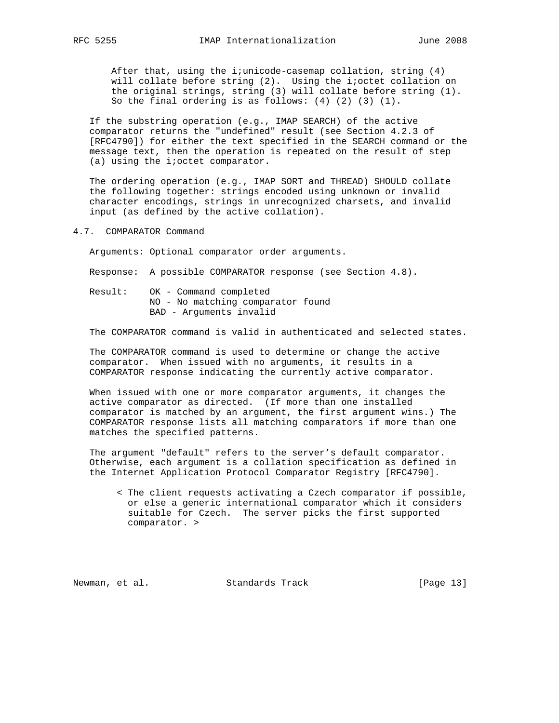After that, using the i;unicode-casemap collation, string (4) will collate before string (2). Using the i;octet collation on the original strings, string (3) will collate before string (1). So the final ordering is as follows: (4) (2) (3) (1).

 If the substring operation (e.g., IMAP SEARCH) of the active comparator returns the "undefined" result (see Section 4.2.3 of [RFC4790]) for either the text specified in the SEARCH command or the message text, then the operation is repeated on the result of step (a) using the i;octet comparator.

 The ordering operation (e.g., IMAP SORT and THREAD) SHOULD collate the following together: strings encoded using unknown or invalid character encodings, strings in unrecognized charsets, and invalid input (as defined by the active collation).

### 4.7. COMPARATOR Command

Arguments: Optional comparator order arguments.

Response: A possible COMPARATOR response (see Section 4.8).

 Result: OK - Command completed NO - No matching comparator found BAD - Arguments invalid

The COMPARATOR command is valid in authenticated and selected states.

 The COMPARATOR command is used to determine or change the active comparator. When issued with no arguments, it results in a COMPARATOR response indicating the currently active comparator.

 When issued with one or more comparator arguments, it changes the active comparator as directed. (If more than one installed comparator is matched by an argument, the first argument wins.) The COMPARATOR response lists all matching comparators if more than one matches the specified patterns.

 The argument "default" refers to the server's default comparator. Otherwise, each argument is a collation specification as defined in the Internet Application Protocol Comparator Registry [RFC4790].

 < The client requests activating a Czech comparator if possible, or else a generic international comparator which it considers suitable for Czech. The server picks the first supported comparator. >

Newman, et al. Standards Track [Page 13]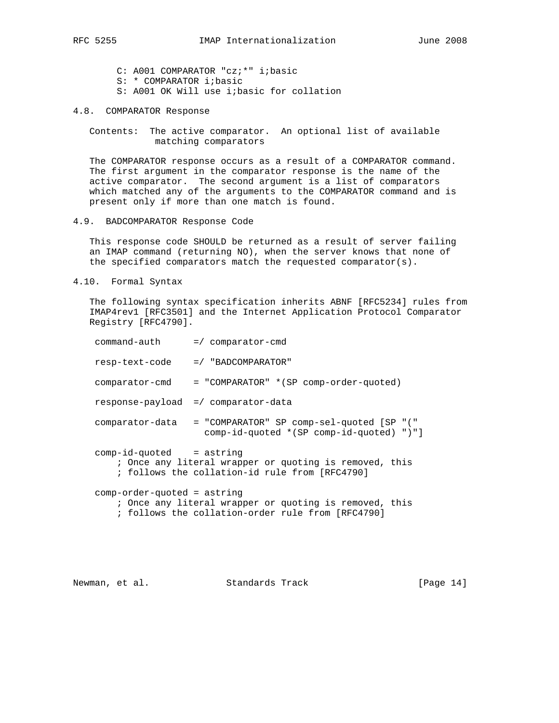- C: A001 COMPARATOR "cz;\*" i;basic S: \* COMPARATOR i;basic
- S: A001 OK Will use i;basic for collation
- 4.8. COMPARATOR Response

 Contents: The active comparator. An optional list of available matching comparators

 The COMPARATOR response occurs as a result of a COMPARATOR command. The first argument in the comparator response is the name of the active comparator. The second argument is a list of comparators which matched any of the arguments to the COMPARATOR command and is present only if more than one match is found.

4.9. BADCOMPARATOR Response Code

 This response code SHOULD be returned as a result of server failing an IMAP command (returning NO), when the server knows that none of the specified comparators match the requested comparator(s).

4.10. Formal Syntax

 The following syntax specification inherits ABNF [RFC5234] rules from IMAP4rev1 [RFC3501] and the Internet Application Protocol Comparator Registry [RFC4790].

| command-auth                  | $=$ / comparator-cmd                                                                                        |
|-------------------------------|-------------------------------------------------------------------------------------------------------------|
| resp-text-code                | $=$ / "BADCOMPARATOR"                                                                                       |
| comparator-cmd                | = "COMPARATOR" * (SP comp-order-quoted)                                                                     |
|                               | response-payload =/ comparator-data                                                                         |
| comparator-data               | = "COMPARATOR" SP comp-sel-quoted [SP "("<br>comp-id-quoted *(SP comp-id-quoted) ")"]                       |
| $comp-id-quoted$ = $astrinq$  | ; Once any literal wrapper or quoting is removed, this<br>; follows the collation-id rule from [RFC4790]    |
| $comp-order-quoted = astring$ | ; Once any literal wrapper or quoting is removed, this<br>; follows the collation-order rule from [RFC4790] |

Newman, et al. Standards Track [Page 14]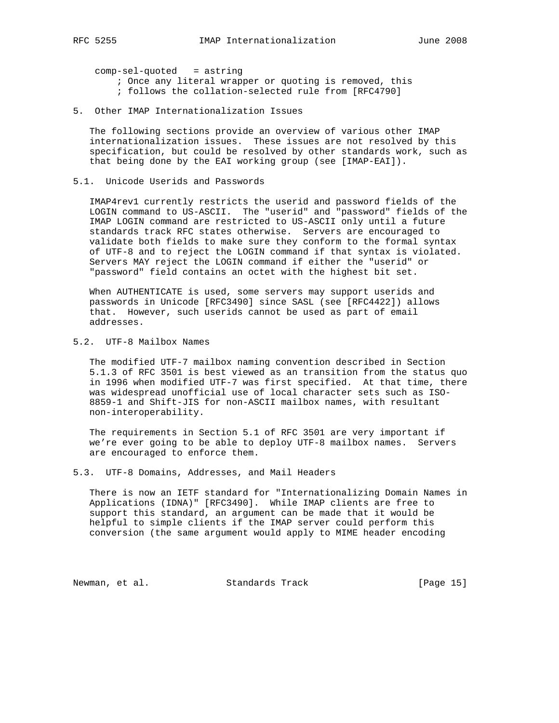comp-sel-quoted = astring

- ; Once any literal wrapper or quoting is removed, this
- ; follows the collation-selected rule from [RFC4790]
- 5. Other IMAP Internationalization Issues

 The following sections provide an overview of various other IMAP internationalization issues. These issues are not resolved by this specification, but could be resolved by other standards work, such as that being done by the EAI working group (see [IMAP-EAI]).

5.1. Unicode Userids and Passwords

 IMAP4rev1 currently restricts the userid and password fields of the LOGIN command to US-ASCII. The "userid" and "password" fields of the IMAP LOGIN command are restricted to US-ASCII only until a future standards track RFC states otherwise. Servers are encouraged to validate both fields to make sure they conform to the formal syntax of UTF-8 and to reject the LOGIN command if that syntax is violated. Servers MAY reject the LOGIN command if either the "userid" or "password" field contains an octet with the highest bit set.

 When AUTHENTICATE is used, some servers may support userids and passwords in Unicode [RFC3490] since SASL (see [RFC4422]) allows that. However, such userids cannot be used as part of email addresses.

5.2. UTF-8 Mailbox Names

 The modified UTF-7 mailbox naming convention described in Section 5.1.3 of RFC 3501 is best viewed as an transition from the status quo in 1996 when modified UTF-7 was first specified. At that time, there was widespread unofficial use of local character sets such as ISO- 8859-1 and Shift-JIS for non-ASCII mailbox names, with resultant non-interoperability.

 The requirements in Section 5.1 of RFC 3501 are very important if we're ever going to be able to deploy UTF-8 mailbox names. Servers are encouraged to enforce them.

5.3. UTF-8 Domains, Addresses, and Mail Headers

 There is now an IETF standard for "Internationalizing Domain Names in Applications (IDNA)" [RFC3490]. While IMAP clients are free to support this standard, an argument can be made that it would be helpful to simple clients if the IMAP server could perform this conversion (the same argument would apply to MIME header encoding

Newman, et al. Standards Track [Page 15]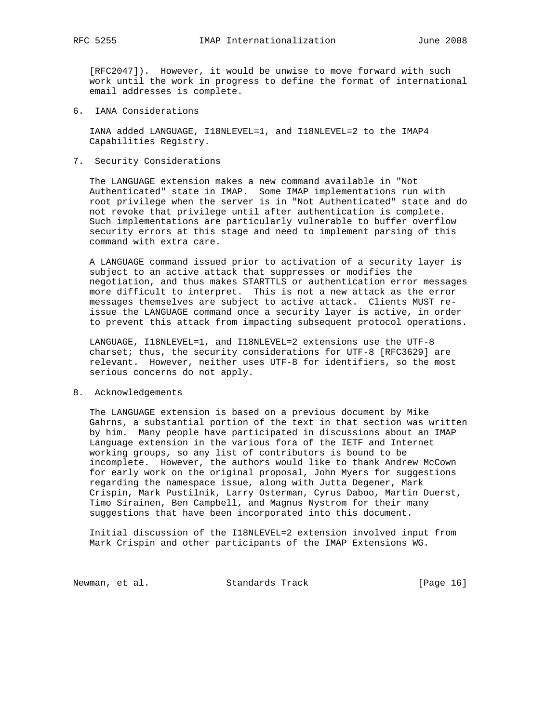[RFC2047]). However, it would be unwise to move forward with such work until the work in progress to define the format of international email addresses is complete.

6. IANA Considerations

 IANA added LANGUAGE, I18NLEVEL=1, and I18NLEVEL=2 to the IMAP4 Capabilities Registry.

7. Security Considerations

 The LANGUAGE extension makes a new command available in "Not Authenticated" state in IMAP. Some IMAP implementations run with root privilege when the server is in "Not Authenticated" state and do not revoke that privilege until after authentication is complete. Such implementations are particularly vulnerable to buffer overflow security errors at this stage and need to implement parsing of this command with extra care.

 A LANGUAGE command issued prior to activation of a security layer is subject to an active attack that suppresses or modifies the negotiation, and thus makes STARTTLS or authentication error messages more difficult to interpret. This is not a new attack as the error messages themselves are subject to active attack. Clients MUST re issue the LANGUAGE command once a security layer is active, in order to prevent this attack from impacting subsequent protocol operations.

 LANGUAGE, I18NLEVEL=1, and I18NLEVEL=2 extensions use the UTF-8 charset; thus, the security considerations for UTF-8 [RFC3629] are relevant. However, neither uses UTF-8 for identifiers, so the most serious concerns do not apply.

8. Acknowledgements

 The LANGUAGE extension is based on a previous document by Mike Gahrns, a substantial portion of the text in that section was written by him. Many people have participated in discussions about an IMAP Language extension in the various fora of the IETF and Internet working groups, so any list of contributors is bound to be incomplete. However, the authors would like to thank Andrew McCown for early work on the original proposal, John Myers for suggestions regarding the namespace issue, along with Jutta Degener, Mark Crispin, Mark Pustilnik, Larry Osterman, Cyrus Daboo, Martin Duerst, Timo Sirainen, Ben Campbell, and Magnus Nystrom for their many suggestions that have been incorporated into this document.

 Initial discussion of the I18NLEVEL=2 extension involved input from Mark Crispin and other participants of the IMAP Extensions WG.

Newman, et al. Standards Track [Page 16]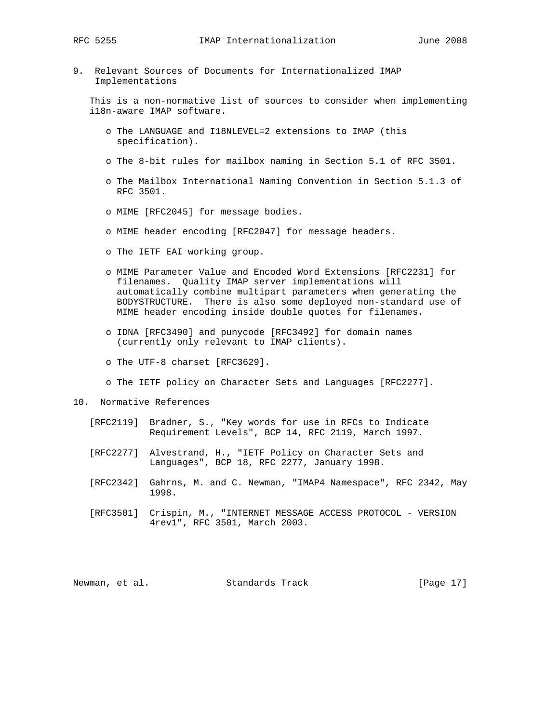9. Relevant Sources of Documents for Internationalized IMAP Implementations

 This is a non-normative list of sources to consider when implementing i18n-aware IMAP software.

- o The LANGUAGE and I18NLEVEL=2 extensions to IMAP (this specification).
- o The 8-bit rules for mailbox naming in Section 5.1 of RFC 3501.
- o The Mailbox International Naming Convention in Section 5.1.3 of RFC 3501.
- o MIME [RFC2045] for message bodies.
- o MIME header encoding [RFC2047] for message headers.
- o The IETF EAI working group.
- o MIME Parameter Value and Encoded Word Extensions [RFC2231] for filenames. Quality IMAP server implementations will automatically combine multipart parameters when generating the BODYSTRUCTURE. There is also some deployed non-standard use of MIME header encoding inside double quotes for filenames.
- o IDNA [RFC3490] and punycode [RFC3492] for domain names (currently only relevant to IMAP clients).
- o The UTF-8 charset [RFC3629].

o The IETF policy on Character Sets and Languages [RFC2277].

- 10. Normative References
	- [RFC2119] Bradner, S., "Key words for use in RFCs to Indicate Requirement Levels", BCP 14, RFC 2119, March 1997.
	- [RFC2277] Alvestrand, H., "IETF Policy on Character Sets and Languages", BCP 18, RFC 2277, January 1998.
	- [RFC2342] Gahrns, M. and C. Newman, "IMAP4 Namespace", RFC 2342, May 1998.
	- [RFC3501] Crispin, M., "INTERNET MESSAGE ACCESS PROTOCOL VERSION 4rev1", RFC 3501, March 2003.

Newman, et al. Standards Track [Page 17]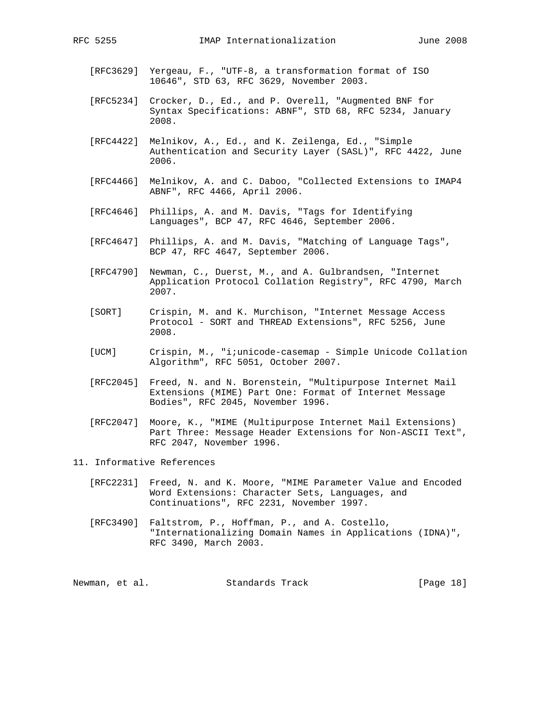- [RFC3629] Yergeau, F., "UTF-8, a transformation format of ISO 10646", STD 63, RFC 3629, November 2003.
- [RFC5234] Crocker, D., Ed., and P. Overell, "Augmented BNF for Syntax Specifications: ABNF", STD 68, RFC 5234, January 2008.
- [RFC4422] Melnikov, A., Ed., and K. Zeilenga, Ed., "Simple Authentication and Security Layer (SASL)", RFC 4422, June 2006.
- [RFC4466] Melnikov, A. and C. Daboo, "Collected Extensions to IMAP4 ABNF", RFC 4466, April 2006.
- [RFC4646] Phillips, A. and M. Davis, "Tags for Identifying Languages", BCP 47, RFC 4646, September 2006.
- [RFC4647] Phillips, A. and M. Davis, "Matching of Language Tags", BCP 47, RFC 4647, September 2006.
- [RFC4790] Newman, C., Duerst, M., and A. Gulbrandsen, "Internet Application Protocol Collation Registry", RFC 4790, March 2007.
- [SORT] Crispin, M. and K. Murchison, "Internet Message Access Protocol - SORT and THREAD Extensions", RFC 5256, June 2008.
- [UCM] Crispin, M., "i;unicode-casemap Simple Unicode Collation Algorithm", RFC 5051, October 2007.
- [RFC2045] Freed, N. and N. Borenstein, "Multipurpose Internet Mail Extensions (MIME) Part One: Format of Internet Message Bodies", RFC 2045, November 1996.
- [RFC2047] Moore, K., "MIME (Multipurpose Internet Mail Extensions) Part Three: Message Header Extensions for Non-ASCII Text", RFC 2047, November 1996.
- 11. Informative References
	- [RFC2231] Freed, N. and K. Moore, "MIME Parameter Value and Encoded Word Extensions: Character Sets, Languages, and Continuations", RFC 2231, November 1997.
	- [RFC3490] Faltstrom, P., Hoffman, P., and A. Costello, "Internationalizing Domain Names in Applications (IDNA)", RFC 3490, March 2003.

Newman, et al. Standards Track [Page 18]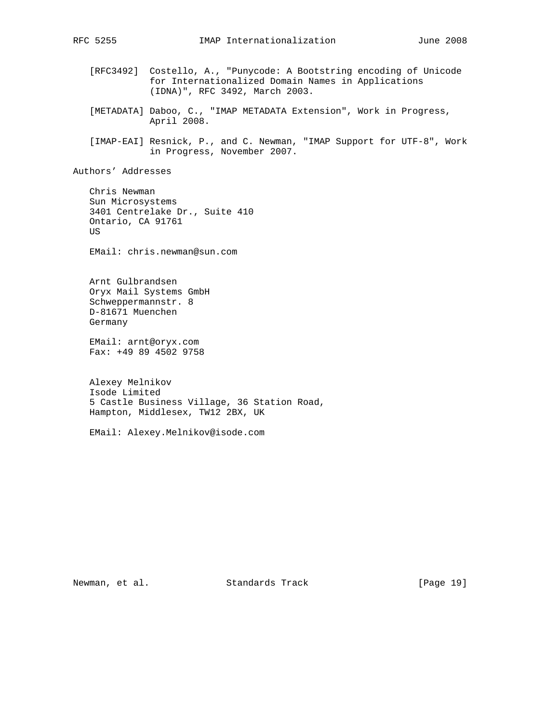- [RFC3492] Costello, A., "Punycode: A Bootstring encoding of Unicode for Internationalized Domain Names in Applications (IDNA)", RFC 3492, March 2003.
- [METADATA] Daboo, C., "IMAP METADATA Extension", Work in Progress, April 2008.
- [IMAP-EAI] Resnick, P., and C. Newman, "IMAP Support for UTF-8", Work in Progress, November 2007.

Authors' Addresses

 Chris Newman Sun Microsystems 3401 Centrelake Dr., Suite 410 Ontario, CA 91761 US

EMail: chris.newman@sun.com

 Arnt Gulbrandsen Oryx Mail Systems GmbH Schweppermannstr. 8 D-81671 Muenchen Germany

 EMail: arnt@oryx.com Fax: +49 89 4502 9758

 Alexey Melnikov Isode Limited 5 Castle Business Village, 36 Station Road, Hampton, Middlesex, TW12 2BX, UK

EMail: Alexey.Melnikov@isode.com

Newman, et al. Standards Track [Page 19]